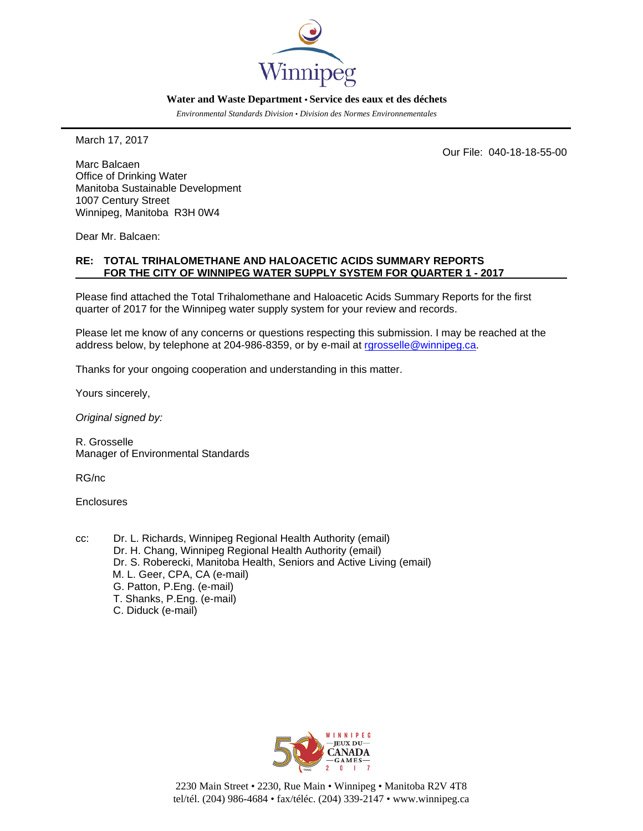

#### **Water and Waste Department • Service des eaux et des déchets**

*Environmental Standards Division • Division des Normes Environnementales*

March 17, 2017

Our File: 040-18-18-55-00

Marc Balcaen Office of Drinking Water Manitoba Sustainable Development 1007 Century Street Winnipeg, Manitoba R3H 0W4

Dear Mr. Balcaen:

#### **RE: TOTAL TRIHALOMETHANE AND HALOACETIC ACIDS SUMMARY REPORTS FOR THE CITY OF WINNIPEG WATER SUPPLY SYSTEM FOR QUARTER 1 - 2017**

Please find attached the Total Trihalomethane and Haloacetic Acids Summary Reports for the first quarter of 2017 for the Winnipeg water supply system for your review and records.

Please let me know of any concerns or questions respecting this submission. I may be reached at the address below, by telephone at 204-986-8359, or by e-mail at [rgrosselle@winnipeg.ca.](mailto:rgrosselle@winnipeg.ca)

Thanks for your ongoing cooperation and understanding in this matter.

Yours sincerely,

*Original signed by:*

R. Grosselle Manager of Environmental Standards

RG/nc

Enclosures

cc: Dr. L. Richards, Winnipeg Regional Health Authority (email) Dr. H. Chang, Winnipeg Regional Health Authority (email) Dr. S. Roberecki, Manitoba Health, Seniors and Active Living (email) M. L. Geer, CPA, CA (e-mail) G. Patton, P.Eng. (e-mail) T. Shanks, P.Eng. (e-mail) C. Diduck (e-mail)



2230 Main Street • 2230, Rue Main • Winnipeg • Manitoba R2V 4T8 tel/tél. (204) 986-4684 • fax/téléc. (204) 339-2147 • www.winnipeg.ca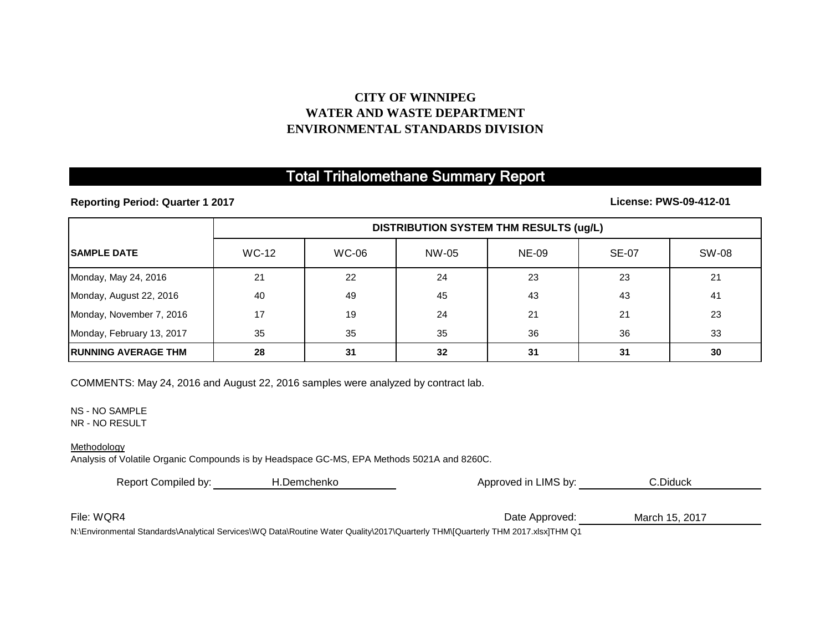## **CITY OF WINNIPEG WATER AND WASTE DEPARTMENT ENVIRONMENTAL STANDARDS DIVISION**

# Total Trihalomethane Summary Report

**Reporting Period: Quarter 1 2017**

### **License: PWS-09-412-01**

|                            | <b>DISTRIBUTION SYSTEM THM RESULTS (ug/L)</b> |              |       |              |              |       |
|----------------------------|-----------------------------------------------|--------------|-------|--------------|--------------|-------|
| <b>ISAMPLE DATE</b>        | <b>WC-12</b>                                  | <b>WC-06</b> | NW-05 | <b>NE-09</b> | <b>SE-07</b> | SW-08 |
| Monday, May 24, 2016       | 21                                            | 22           | 24    | 23           | 23           | 21    |
| Monday, August 22, 2016    | 40                                            | 49           | 45    | 43           | 43           | 41    |
| Monday, November 7, 2016   | 17                                            | 19           | 24    | 21           | 21           | 23    |
| Monday, February 13, 2017  | 35                                            | 35           | 35    | 36           | 36           | 33    |
| <b>RUNNING AVERAGE THM</b> | 28                                            | 31           | 32    | 31           | 31           | 30    |

COMMENTS: May 24, 2016 and August 22, 2016 samples were analyzed by contract lab.

NS - NO SAMPLE

NR - NO RESULT

#### Methodology

Analysis of Volatile Organic Compounds is by Headspace GC-MS, EPA Methods 5021A and 8260C.

| Report Compiled by: | H.Demchenko | Approved in LIMS by:                                                                                                                                 | C.Diduck       |  |
|---------------------|-------------|------------------------------------------------------------------------------------------------------------------------------------------------------|----------------|--|
|                     |             |                                                                                                                                                      |                |  |
| File: WQR4          |             | Date Approved:                                                                                                                                       | March 15, 2017 |  |
|                     |             | NA Escriptora de la Charles de dicta de Campional MA Data Databar (Alaham Occalin AOO47) Occanis du TUINNIO contadului TUINNIO OA 7 (dat JTUINNIO 4) |                |  |

N:\Environmental Standards\Analytical Services\WQ Data\Routine Water Quality\2017\Quarterly THM\[Quarterly THM 2017.xlsx]THM Q1